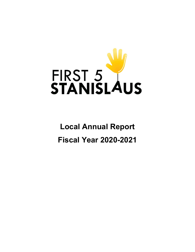

**Local Annual Report Fiscal Year 2020-2021**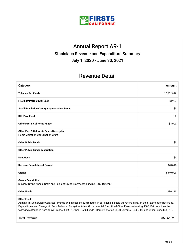

## Annual Report AR-1

Stanislaus Revenue and Expenditure Summary

July 1, 2020 - June 30, 2021

### Revenue Detail

| Category                                                                                                                                                                                                                                                                                                                                                                                                                                                    | Amount      |  |
|-------------------------------------------------------------------------------------------------------------------------------------------------------------------------------------------------------------------------------------------------------------------------------------------------------------------------------------------------------------------------------------------------------------------------------------------------------------|-------------|--|
| <b>Tobacco Tax Funds</b>                                                                                                                                                                                                                                                                                                                                                                                                                                    | \$5,252,998 |  |
| First 5 IMPACT 2020 Funds                                                                                                                                                                                                                                                                                                                                                                                                                                   | \$3,987     |  |
| <b>Small Population County Augmentation Funds</b>                                                                                                                                                                                                                                                                                                                                                                                                           | \$0         |  |
| <b>DLL Pilot Funds</b>                                                                                                                                                                                                                                                                                                                                                                                                                                      | \$0         |  |
| <b>Other First 5 California Funds</b>                                                                                                                                                                                                                                                                                                                                                                                                                       | \$8,003     |  |
| <b>Other First 5 California Funds Description</b><br>Home Visitation Coordination Grant                                                                                                                                                                                                                                                                                                                                                                     |             |  |
| <b>Other Public Funds</b>                                                                                                                                                                                                                                                                                                                                                                                                                                   | \$0         |  |
| <b>Other Public Funds Description</b>                                                                                                                                                                                                                                                                                                                                                                                                                       |             |  |
| <b>Donations</b>                                                                                                                                                                                                                                                                                                                                                                                                                                            | \$0         |  |
| <b>Revenue From Interest Earned</b>                                                                                                                                                                                                                                                                                                                                                                                                                         | \$20,615    |  |
| <b>Grants</b>                                                                                                                                                                                                                                                                                                                                                                                                                                               | \$340,000   |  |
| <b>Grants Description</b><br>Sunlight Giving Annual Grant and Sunlight Giving Emergency Funding (COVID) Grant                                                                                                                                                                                                                                                                                                                                               |             |  |
| <b>Other Funds</b>                                                                                                                                                                                                                                                                                                                                                                                                                                          | \$36,110    |  |
| <b>Other Funds</b><br>Administrative Services Contract Revenue and miscellaneous rebates. In our financial audit, the revenue line, on the Statement of Revenues,<br>Expenditures, and Changes in Fund Balance - Budget to Actual Governmental Fund, titled Other Revenue totaling \$388,100, combines the<br>following categories from above: Impact \$3,987, Other First 5 Funds - Home Visitation \$8,003, Grants - \$340,000, and Other Funds \$36,110. |             |  |

**Total Revenue \$5,661,713**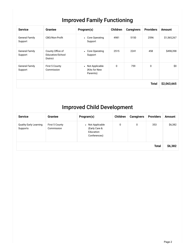## Improved Family Functioning

| <b>Service</b>                   | <b>Grantee</b>                                          | Program(s)                                               | <b>Children</b> | <b>Caregivers</b> | <b>Providers</b> | <b>Amount</b> |
|----------------------------------|---------------------------------------------------------|----------------------------------------------------------|-----------------|-------------------|------------------|---------------|
| <b>General Family</b><br>Support | CBO/Non-Profit                                          | • Core Operating<br>Support                              | 4981            | 5150              | 2596             | \$1,565,267   |
| <b>General Family</b><br>Support | County Office of<br>Education/School<br><b>District</b> | Core Operating<br>$\bullet$<br>Support                   | 2515            | 2241              | 458              | \$498,398     |
| <b>General Family</b><br>Support | First 5 County<br>Commission                            | Not Applicable<br>$\bullet$<br>(Kits for New<br>Paremts) | 0               | 759               | $\Omega$         | \$0           |
|                                  |                                                         |                                                          |                 |                   | <b>Total</b>     | \$2,063,665   |

## Improved Child Development

| <b>Service</b>                            | <b>Grantee</b>               | Program(s)                                                                | Children | <b>Caregivers</b> | <b>Providers</b> | <b>Amount</b> |
|-------------------------------------------|------------------------------|---------------------------------------------------------------------------|----------|-------------------|------------------|---------------|
| <b>Quality Early Learning</b><br>Supports | First 5 County<br>Commission | Not Applicable<br>$\bullet$<br>(Early Care &<br>Education<br>Conferences) | 0        | 0                 | 353              | \$6,382       |
|                                           |                              |                                                                           |          |                   | <b>Total</b>     | \$6,382       |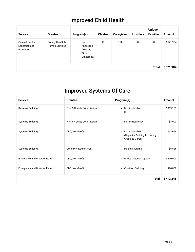# Improved Child Health

| <b>Service</b>                                      | Grantee                                  | Program(s)                                                           | <b>Children</b> | <b>Caregivers</b> | <b>Providers</b> | <b>Unique</b><br><b>Families</b> | <b>Amount</b> |
|-----------------------------------------------------|------------------------------------------|----------------------------------------------------------------------|-----------------|-------------------|------------------|----------------------------------|---------------|
| <b>General Health</b><br>Education and<br>Promotion | County Health &<br><b>Human Services</b> | $\bullet$ Not<br>Applicable<br>(Healthy<br><b>Birth</b><br>Outcomes) | 191             | 190               | 0                | 0                                | \$571,904     |
|                                                     |                                          |                                                                      |                 |                   |                  | <b>Total</b>                     | \$571,904     |

# Improved Systems Of Care

| <b>Service</b>                       | <b>Grantee</b>            | Program(s)                                                             | <b>Amount</b> |
|--------------------------------------|---------------------------|------------------------------------------------------------------------|---------------|
| <b>Systems Building</b>              | First 5 County Commission | • Not Applicable<br>$\theta$                                           | \$369,163     |
| <b>Systems Building</b>              | First 5 County Commission | • Family Resiliency                                                    | \$8,003       |
| <b>Systems Building</b>              | CBO/Non-Profit            | • Not Applicable<br>(Capacity Building for county<br>Cradle to Career) | \$18,654      |
| <b>Systems Building</b>              | Other Private/For Profit  | • Health Systems                                                       | \$6,525       |
| <b>Emergency and Disaster Relief</b> | CBO/Non-Profit            | • Direct Material Support                                              | \$240,000     |
| <b>Emergency and Disaster Relief</b> | CBO/Non-Profit            | • Coalition Building                                                   | \$70,000      |
|                                      |                           | <b>Total</b>                                                           | \$712,345     |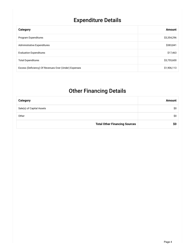# Expenditure Details

| Category                                              | <b>Amount</b> |
|-------------------------------------------------------|---------------|
| Program Expenditures                                  | \$3,354,296   |
| <b>Administrative Expenditures</b>                    | \$383,841     |
| <b>Evaluation Expenditures</b>                        | \$17,463      |
| <b>Total Expenditures</b>                             | \$3,755,600   |
| Excess (Deficiency) Of Revenues Over (Under) Expenses | \$1,906,113   |

## Other Financing Details

| <b>Category</b>                      | Amount |
|--------------------------------------|--------|
| Sale(s) of Capital Assets            | \$0    |
| Other                                | \$0    |
| <b>Total Other Financing Sources</b> | SO.    |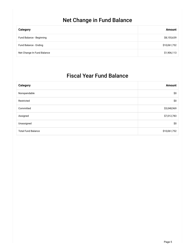## Net Change in Fund Balance

| Category                   | Amount       |
|----------------------------|--------------|
| Fund Balance - Beginning   | \$8,155,639  |
| Fund Balance - Ending      | \$10,061,752 |
| Net Change In Fund Balance | \$1,906,113  |

## Fiscal Year Fund Balance

| <b>Category</b>           | <b>Amount</b> |
|---------------------------|---------------|
| Nonspendable              | \$0           |
| Restricted                | \$0           |
| Committed                 | \$3,048,969   |
| Assigned                  | \$7,012,783   |
| Unassigned                | \$0           |
| <b>Total Fund Balance</b> | \$10,061,752  |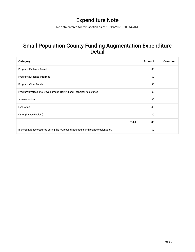## Expenditure Note

No data entered for this section as of 10/19/2021 8:08:54 AM.

#### Small Population County Funding Augmentation Expenditure **Detail**

| <b>Category</b>                                                                      | <b>Amount</b> | <b>Comment</b> |
|--------------------------------------------------------------------------------------|---------------|----------------|
| Program: Evidence-Based                                                              | \$0           |                |
| Program: Evidence-Informed                                                           | \$0           |                |
| Program: Other Funded                                                                | \$0           |                |
| Program: Professional Development, Training and Technical Assistance                 | \$0           |                |
| Administration                                                                       | \$0           |                |
| Evaluation                                                                           | \$0           |                |
| Other (Please Explain)                                                               | \$0           |                |
| <b>Total</b>                                                                         | \$0           |                |
| If unspent funds occurred during the FY, please list amount and provide explanation. | \$0           |                |
|                                                                                      |               |                |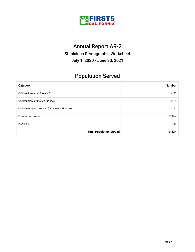

## Annual Report AR-2

Stanislaus Demographic Worksheet

July 1, 2020 - June 30, 2021

## Population Served

| <b>Category</b>                                 | <b>Number</b> |
|-------------------------------------------------|---------------|
| Children Less than 3 Years Old                  | 3,387         |
| Children from 3rd to 6th Birthday               | 4,159         |
| Children - Ages Unknown (birth to 6th Birthday) | 141           |
| <b>Primary Caregivers</b>                       | 11,394        |
| Providers                                       | 353           |
| <b>Total Population Served</b>                  | 19,434        |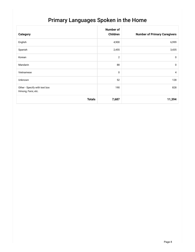## Primary Languages Spoken in the Home

| <b>Category</b>                                     | <b>Number of</b><br>Children | <b>Number of Primary Caregivers</b> |
|-----------------------------------------------------|------------------------------|-------------------------------------|
| English                                             | 4,900                        | 6,999                               |
| Spanish                                             | 2,455                        | 3,435                               |
| Korean                                              | $\overline{2}$               | $\mathbf 0$                         |
| Mandarin                                            | 88                           | $\mathbf 0$                         |
| Vietnamese                                          | 0                            | $\overline{4}$                      |
| Unknown                                             | 52                           | 128                                 |
| Other - Specify with text box<br>Hmong, Farsi, etc. | 190                          | 828                                 |
| <b>Totals</b>                                       | 7,687                        | 11,394                              |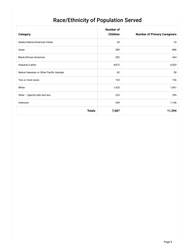# Race/Ethnicity of Population Served

| Category                                  | <b>Number of</b><br>Children | <b>Number of Primary Caregivers</b> |
|-------------------------------------------|------------------------------|-------------------------------------|
| Alaska Native/American Indian             | 34                           | 33                                  |
| Asian                                     | 289                          | 886                                 |
| Black/African-American                    | 292                          | 364                                 |
| Hispanic/Latino                           | 4,872                        | 6,503                               |
| Native Hawaiian or Other Pacific Islander | 42                           | 50                                  |
| Two or more races                         | 153                          | 156                                 |
| White                                     | 1,423                        | 1,961                               |
| Other - Specify with text box             | 233                          | 295                                 |
| Unknown                                   | 349                          | 1,146                               |
| <b>Totals</b>                             | 7,687                        | 11,394                              |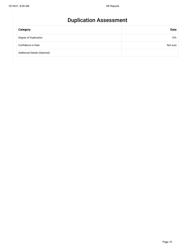## Duplication Assessment

| <b>Category</b>                      | <b>Data</b> |
|--------------------------------------|-------------|
| Degree of Duplication                | 10%         |
| Confidence in Data                   | Not sure    |
| <b>Additional Details (Optional)</b> |             |
|                                      |             |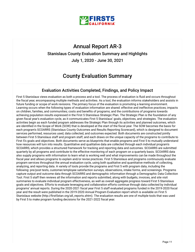

### Annual Report AR-3

#### Stanislaus County Evaluation Summary and Highlights

July 1, 2020 - June 30, 2021

### County Evaluation Summary

#### Evaluation Activities Completed, Findings, and Policy Impact

First 5 Stanislaus views evaluation as both a process and a tool. The process of evaluation is fluid and occurs throughout the fiscal year, encompassing multiple methods and activities. As a tool, the evaluation informs stakeholders and assists in future funding or scope of work revisions. The primary focus of the evaluation is promoting a learning environment. Learning occurs when the following types of evaluation information are shared: effective and ineffective practices; impacts on children, families, and communities; costs and benefits of programs; and the contributions of programs towards achieving population results expressed in the First 5 Stanislaus Strategic Plan. The Strategic Plan is the foundation of any given fiscal year's evaluation cycle, as it communicates First 5 Stanislaus' goals, objectives, and strategies. The evaluation activities begin as each funded program addresses the Strategic Plan through its activities and planned outcomes, which are identified in the Scope of Work (SOW) that is developed at the start of the fiscal year. The SOW becomes the basis for each program's SCOARRS (Stanislaus County Outcomes and Results Reporting Scorecard), which is designed to document services performed, resources used, data collected, and outcomes expected. Both documents are constructed jointly between First 5 Stanislaus staff and program staff, and each draws on the unique capacity of the programs to contribute to First 5's goals and objectives. Both documents serve as blueprints that enable programs and First 5 to mutually understand how resources will turn into results. Quantitative and qualitative data are collected through each individual program's SCOARRS, which provides a structured framework for tracking and reporting data and outcomes. SCOARRS are submitted quarterly by all programs and contribute to the effective monitoring of each program on a quarterly basis. SCOARRS data also supply programs with information to learn what is working well and what improvements can be made throughout the fiscal year and allows programs to explain and/or revise practices. First 5 Stanislaus and programs continuously evaluate program services throughout the annual evaluation cycle, using both qualitative and quantitative methods of collecting, analyzing, and reporting data. A variety of tools provide the programs and First 5 with program data, including the following: pre/post tests, customer/employee satisfaction surveys, observations, intake forms, and screenings. Programs capture output and outcome data through SCOARRS and demographic information through a Demographic Data Collection Tool. First 5 staff then reviews all the information and reports submitted, along with budgets, invoices, and site visit summaries to evaluate individual program effectiveness, as well as overall aggregate progress toward First 5 Stanislaus goals and objectives. Efforts to evaluate leveraging and collaboration efforts continue through data collected by individual programs' annual reports. During the 2020-2021 fiscal year First 5 staff evaluated programs funded in the 2019-2020 fiscal year and the result were published in the 2019-2020 Annual Program Evaluation report which is available on First 5 Stanislaus website (http://first5stan.org/all\_reports.shtm). The evaluation results are one of multiple tools that was used by First 5 to make program funding decisions for the 2021-2022 fiscal year.